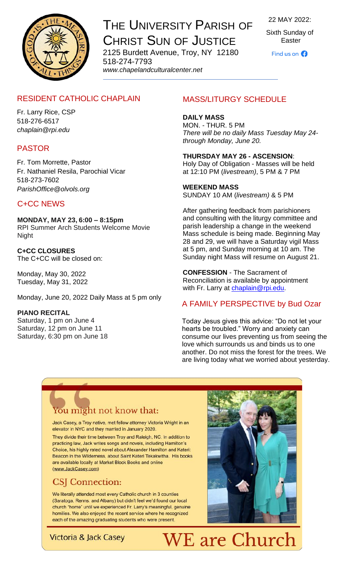

THE UNIVERSITY PARISH OF CHRIST SUN OF JUSTICE 2125 Burdett Avenue, Troy, NY 12180 518-274-7793

*www[.chapelandculturalcenter.net](https://chapelandculturalcenter.net/)*

22 MAY 2022:

Sixth Sunday of Easter

Find us on  $\Omega$ 

## RESIDENT CATHOLIC CHAPLAIN

Fr. Larry Rice, CSP 518-276-6517 *[chaplain@rpi.edu](mailto:chaplain@rpi.edu)*

### PASTOR

Fr. Tom Morrette, Pastor Fr. Nathaniel Resila, Parochial Vicar 518-273-7602 *[ParishOffice@olvols.org](mailto:ParishOffice@olvols.org)*

### C+CC NEWS

**MONDAY, MAY 23, 6:00 – 8:15pm** RPI Summer Arch Students Welcome Movie Night

**C+CC CLOSURES** The C+CC will be closed on:

Monday, May 30, 2022 Tuesday, May 31, 2022

Monday, June 20, 2022 Daily Mass at 5 pm only

#### **PIANO RECITAL**

Saturday, 1 pm on June 4 Saturday, 12 pm on June 11 Saturday, 6:30 pm on June 18

## MASS/LITURGY SCHEDULE

#### **DAILY MASS** MON. - THUR. 5 PM *There will be no daily Mass Tuesday May 24 through Monday, June 20.*

**THURSDAY MAY 26 - ASCENSION**: Holy Day of Obligation - Masses will be held at 12:10 PM (*[livestream\)](https://www.facebook.com/ChristSunofJustice/live/)*, 5 PM & 7 PM

#### **WEEKEND MASS**

SUNDAY 10 AM (*[livestream\)](https://www.facebook.com/ChristSunofJustice/live/)* & 5 PM

After gathering feedback from parishioners and consulting with the liturgy committee and parish leadership a change in the weekend Mass schedule is being made. Beginning May 28 and 29, we will have a Saturday vigil Mass at 5 pm, and Sunday morning at 10 am. The Sunday night Mass will resume on August 21.

**CONFESSION** - The Sacrament of Reconciliation is available by appointment with Fr. Larry at [chaplain@rpi.edu](mailto:chaplain@rpi.edu).

### A FAMILY PERSPECTIVE by Bud Ozar

Today Jesus gives this advice: "Do not let your hearts be troubled." Worry and anxiety can consume our lives preventing us from seeing the love which surrounds us and binds us to one another. Do not miss the forest for the trees. We are living today what we worried about yesterday.

# You might not know that:

Jack Casey, a Troy native, met fellow attorney Victoria Wright in an elevator in NYC and they married in January 2020.

They divide their time between Troy and Raleigh, NC. In addition to practicing law, Jack writes songs and novels, including Hamilton's Choice, his highly rated novel about Alexander Hamilton and Kateri: Beacon in the Wilderness, about Saint Kateri Tekakwitha. His books are available locally at Market Block Books and online (www.JackCasey.com)

## CSJ Connection:

We literally attended most every Catholic church in 3 counties (Saratoga, Renns. and Albany) but didn't feel we'd found our local church "home" until we experienced Fr. Larry's meaningful, genuine homilies. We also enjoyed the recent service where he recognized each of the amazing graduating students who were present.



Victoria & Jack Casey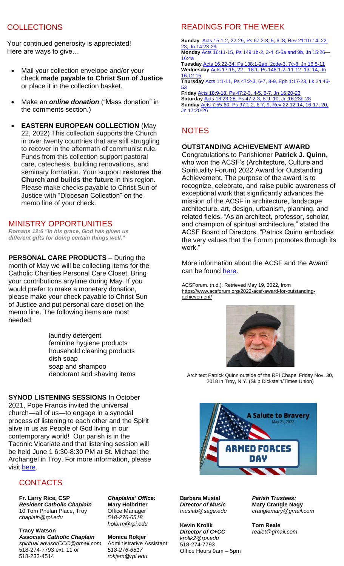## **COLLECTIONS**

Your continued generosity is appreciated! Here are ways to give…

- Mail your collection envelope and/or your check **made payable to Christ Sun of Justice** or place it in the collection basket.
- Make an *[online donation](http://chapelandculturalcenter.net/give-back/)* ("Mass donation" in the comments section.)
- **EASTERN EUROPEAN COLLECTION** (May 22, 2022) This collection supports the Church in over twenty countries that are still struggling to recover in the aftermath of communist rule. Funds from this collection support pastoral care, catechesis, building renovations, and seminary formation. Your support **restores the Church and builds the future** in this region. Please make checks payable to Christ Sun of Justice with "Diocesan Collection" on the memo line of your check.

#### MINISTRY OPPORTUNITIES

*Romans 12:6 "In his grace, God has given us different gifts for doing certain things well."*

**PERSONAL CARE PRODUCTS** – During the month of May we will be collecting items for the Catholic Charities Personal Care Closet. Bring your contributions anytime during May. If you would prefer to make a monetary donation, please make your check payable to Christ Sun of Justice and put personal care closet on the memo line. The following items are most needed:

> laundry detergent feminine hygiene products household cleaning products dish soap soap and shampoo deodorant and shaving items

**SYNOD LISTENING SESSIONS** In October 2021, Pope Francis invited the universal church—all of us—to engage in a synodal process of listening to each other and the Spirit alive in us as People of God living in our contemporary world! Our parish is in the Taconic Vicariate and that listening session will be held June 1 6:30-8:30 PM at St. Michael the Archangel in Troy. For more information, please visit [here.](https://www.rcda.org/synod)

#### **CONTACTS**

**Fr. Larry Rice, CSP** *Resident Catholic Chaplain* 10 Tom Phelan Place, Troy *[chaplain@rpi.edu](mailto:chaplain@rpi.edu)*

**Tracy Watson**  *Associate Catholic Chaplain [spiritual.advisorCCC@gmail.com](mailto:spiritual.advisorCCC@gmail.com)* 518-274-7793 ext. 11 or 518-233-4514

*Chaplains' Office:*  **Mary Holbritter** Office Manager *518-276-6518 [holbrm@rpi.edu](mailto:holbrm@rpi.edu)*

**Monica Rokjer** Administrative Assistant *518-276-6517 [rokjem@rpi.edu](mailto:rokjem@rpi.edu)*

## READINGS FOR THE WEEK

**Sunday** [Acts 15:1-2, 22-29, Ps 67:2-3, 5, 6, 8, Rev 21:10-14, 22-](https://bible.usccb.org/bible/readings/052222.cfm) [23, Jn 14:23-29](https://bible.usccb.org/bible/readings/052222.cfm)

**Monday** [Acts 16:11-15, Ps 149:1b-2, 3-4,](https://bible.usccb.org/bible/readings/monday-sixth-week-easter) 5-6a and 9b, Jn 15:26— [16:4a](https://bible.usccb.org/bible/readings/monday-sixth-week-easter)

**Tuesday** [Acts 16:22-34, Ps 138:1-2ab, 2cde-3, 7c-8, Jn 16:5-11](https://bible.usccb.org/bible/readings/tuesday-sixth-week-easter) **Wednesday** [Acts 17:15, 22—18:1, Ps 148:1-2, 11-12, 13, 14, Jn](https://bible.usccb.org/bible/readings/052522.cfm)  [16:12-15](https://bible.usccb.org/bible/readings/052522.cfm)

**Thursday** [Acts 1:1-11, Ps 47:2-3, 6-7, 8-9, Eph 1:17-23, Lk 24:46-](https://bible.usccb.org/bible/readings/052622-ascension.cfm) [53](https://bible.usccb.org/bible/readings/052622-ascension.cfm)

**Friday** [Acts 18:9-18, Ps 47:2-3, 4-5, 6-7, Jn 16:20-23](https://bible.usccb.org/bible/readings/052722.cfm) **Saturday** [Acts 18:23-28, Ps 47:2-3, 8-9, 10, Jn 16:23b-28](https://bible.usccb.org/bible/readings/052822.cfm) **Sunday** [Acts 7:55-60, Ps 97:1-2, 6-7, 9, Rev 22:12-14, 16-17, 20,](https://bible.usccb.org/bible/readings/052922-sunday.cfm)  [Jn 17:20-26](https://bible.usccb.org/bible/readings/052922-sunday.cfm)

## **NOTES**

#### **OUTSTANDING ACHIEVEMENT AWARD**

Congratulations to Parishioner **Patrick J. Quinn**, who won the ACSF's (Architecture, Culture and Spirituality Forum) 2022 Award for Outstanding Achievement. The purpose of the award is to recognize, celebrate, and raise public awareness of exceptional work that significantly advances the mission of the ACSF in architecture, landscape architecture, art, design, urbanism, planning, and related fields. "As an architect, professor, scholar, and champion of spiritual architecture," stated the ACSF Board of Directors, "Patrick Quinn embodies the very values that the Forum promotes through its work."

More information about the ACSF and the Award can be found [here.](https://www.acsforum.org/2022-acsf-award-for-outstanding-achievement/)

ACSForum. (n.d.). Retrieved May 19, 2022, from [https://www.acsforum.org/2022-acsf-award-for-outstanding](https://www.acsforum.org/2022-acsf-award-for-outstanding-achievement/)[achievement/](https://www.acsforum.org/2022-acsf-award-for-outstanding-achievement/)



Architect Patrick Quinn outside of the RPI Chapel Friday Nov. 30, 2018 in Troy, N.Y. (Skip Dickstein/Times Union)



**Barbara Musial** *Director of Music [musiab@sage.edu](mailto:musiab@sage.edu)*

**Kevin Krolik** *Director of [C+CC](http://www.chapelandculturalcenter.net/) [krolik2@rpi.edu](mailto:krolik2@rpi.edu)*  518-274-7793 Office Hours 9am – 5pm *Parish Trustees:* **Mary Crangle Nagy** *[cranglemary@gmail.com](mailto:cranglemary@gmail.com)*

**Tom Reale** *[realet@gmail.com](mailto:realet@gmail.com)*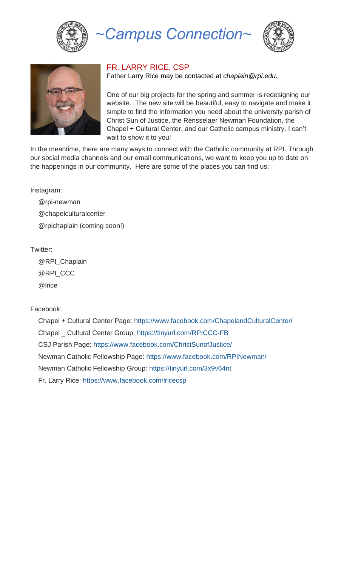

*~Campus Connection~*





## FR. LARRY RICE, CSP

Father Larry Rice may be contacted at *[chaplain@rpi.edu.](mailto:chaplain@rpi.edu)*

One of our big projects for the spring and summer is redesigning our website. The new site will be beautiful, easy to navigate and make it simple to find the information you need about the university parish of Christ Sun of Justice, the Rensselaer Newman Foundation, the Chapel + Cultural Center, and our Catholic campus ministry. I can't wait to show it to you!

In the meantime, there are many ways to connect with the Catholic community at RPI. Through our social media channels and our email communications, we want to keep you up to date on the happenings in our community. Here are some of the places you can find us:

Instagram:

@rpi-newman @chapelculturalcenter @rpichaplain (coming soon!)

Twitter:

@RPI\_Chaplain @RPI\_CCC @lrice

Facebook:

Chapel + Cultural Center Page:<https://www.facebook.com/ChapelandCulturalCenter/> Chapel \_ Cultural Center Group:<https://tinyurl.com/RPICCC-FB> CSJ Parish Page:<https://www.facebook.com/ChristSunofJustice/> Newman Catholic Fellowship Page:<https://www.facebook.com/RPINewman/> Newman Catholic Fellowship Group:<https://tinyurl.com/3x9v64nt> Fr. Larry Rice:<https://www.facebook.com/lricecsp>